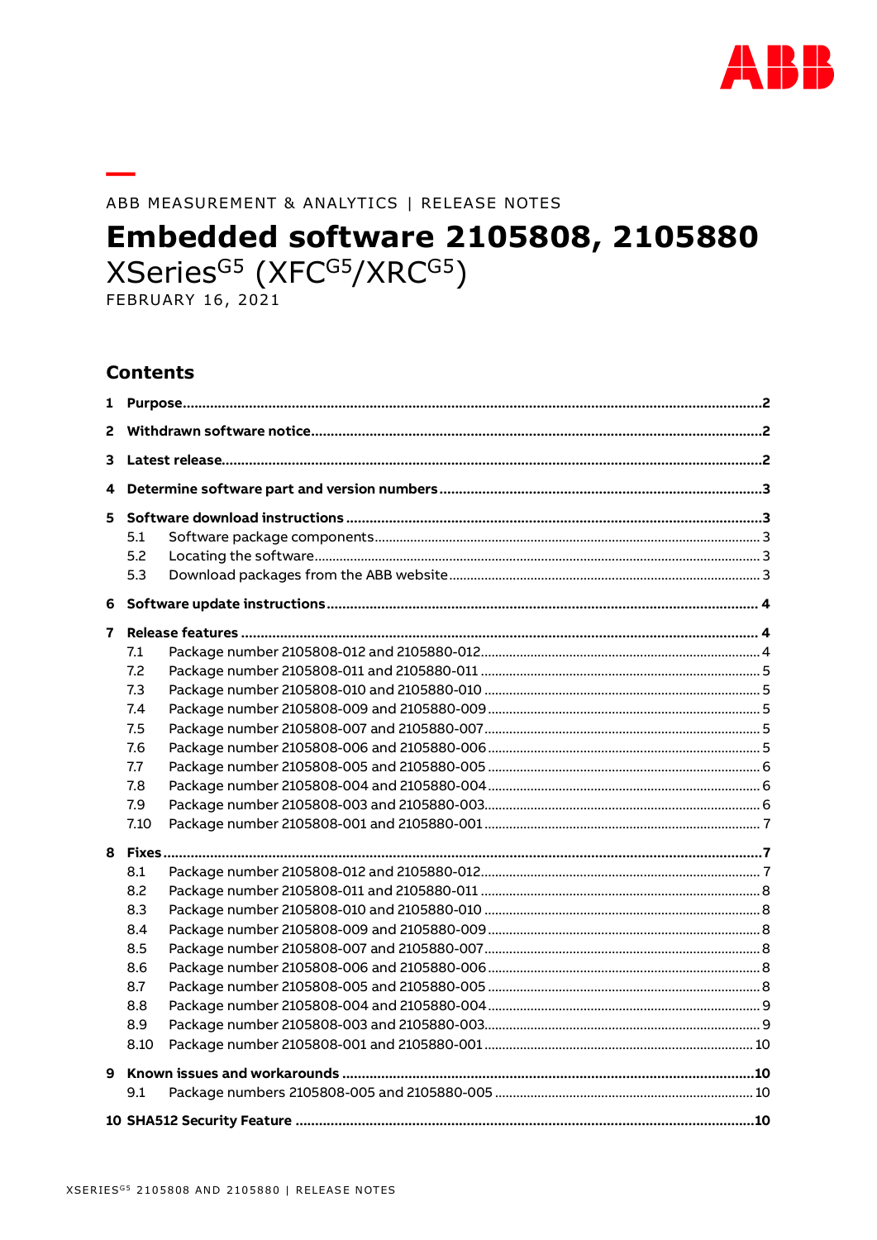

#### ABB MEASUREMENT & ANALYTICS | RELEASE NOTES

# **Embedded software 2105808, 2105880**

XSeries<sup>G5</sup> (XFC<sup>G5</sup>/XRC<sup>G5</sup>)

**FEBRUARY 16, 2021** 

#### **Contents**

| 1  |      |  |  |
|----|------|--|--|
| 2  |      |  |  |
| 3. |      |  |  |
| 4  |      |  |  |
|    |      |  |  |
|    | 5.1  |  |  |
|    | 5.2  |  |  |
|    | 5.3  |  |  |
|    |      |  |  |
| 7  |      |  |  |
|    | 7.1  |  |  |
|    | 7.2  |  |  |
|    | 7.3  |  |  |
|    | 7.4  |  |  |
|    | 7.5  |  |  |
|    | 7.6  |  |  |
|    | 7.7  |  |  |
|    | 7.8  |  |  |
|    | 7.9  |  |  |
|    | 7.10 |  |  |
|    |      |  |  |
|    | 8.1  |  |  |
|    | 8.2  |  |  |
|    | 8.3  |  |  |
|    | 8.4  |  |  |
|    | 8.5  |  |  |
|    | 8.6  |  |  |
|    | 8.7  |  |  |
|    | 8.8  |  |  |
|    | 8.9  |  |  |
|    | 8.10 |  |  |
|    |      |  |  |
|    | 9.1  |  |  |
|    |      |  |  |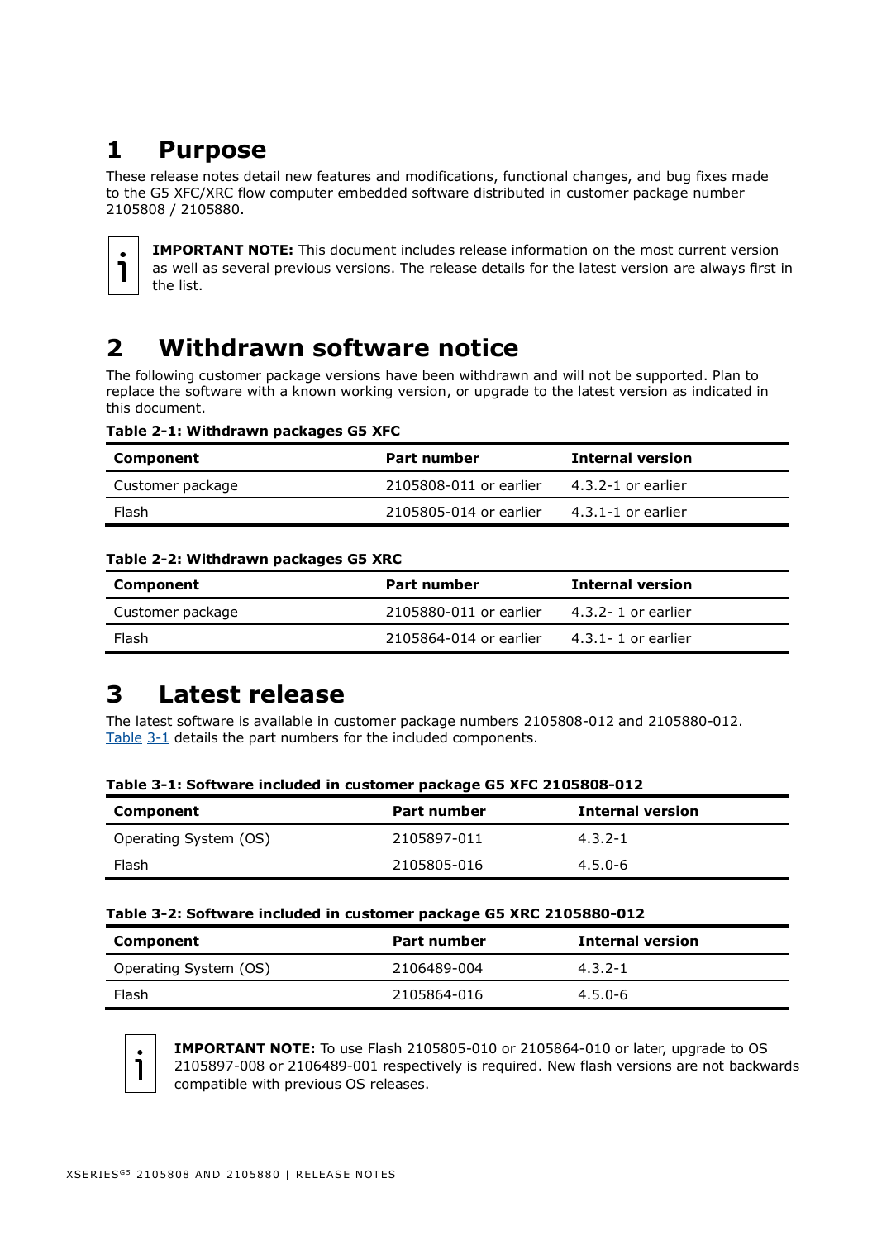# <span id="page-1-0"></span>**1 Purpose**

These release notes detail new features and modifications, functional changes, and bug fixes made to the G5 XFC/XRC flow computer embedded software distributed in customer package number 2105808 / 2105880.



**IMPORTANT NOTE:** This document includes release information on the most current version as well as several previous versions. The release details for the latest version are always first in the list.

# <span id="page-1-4"></span><span id="page-1-1"></span>**2 Withdrawn software notice**

The following customer package versions have been withdrawn and will not be supported. Plan to replace the software with a known working version, or upgrade to the latest version as indicated in this document.

|  | Table 2-1: Withdrawn packages G5 XFC |  |  |
|--|--------------------------------------|--|--|
|  |                                      |  |  |

| Component        | Part number            | <b>Internal version</b> |
|------------------|------------------------|-------------------------|
| Customer package | 2105808-011 or earlier | 4.3.2-1 or earlier      |
| Flash            | 2105805-014 or earlier | $4.3.1 - 1$ or earlier  |

#### **Table 2-2: Withdrawn packages G5 XRC**

| Component        | Part number            | <b>Internal version</b> |
|------------------|------------------------|-------------------------|
| Customer package | 2105880-011 or earlier | 4.3.2-1 or earlier      |
| Flash            | 2105864-014 or earlier | $4.3.1 - 1$ or earlier  |

# <span id="page-1-2"></span>**3 Latest release**

The latest software is available in customer package numbers 2105808-012 and 2105880-012. [Table](#page-1-3) 3-1 details the part numbers for the included components.

| Table 3-1: Software included in customer package G5 AFC 2105808-012 |                    |                         |  |
|---------------------------------------------------------------------|--------------------|-------------------------|--|
| Component                                                           | <b>Part number</b> | <b>Internal version</b> |  |
| Operating System (OS)                                               | 2105897-011        | $4.3.2 - 1$             |  |
| Flash                                                               | 2105805-016        | $4.5.0 - 6$             |  |

<span id="page-1-3"></span>

#### **Table 3-2: Software included in customer package G5 XRC 2105880-012**

| Component             | Part number | <b>Internal version</b> |
|-----------------------|-------------|-------------------------|
| Operating System (OS) | 2106489-004 | $4.3.2 - 1$             |
| Flash                 | 2105864-016 | $4.5.0 - 6$             |



**IMPORTANT NOTE:** To use Flash 2105805-010 or 2105864-010 or later, upgrade to OS 2105897-008 or 2106489-001 respectively is required. New flash versions are not backwards compatible with previous OS releases.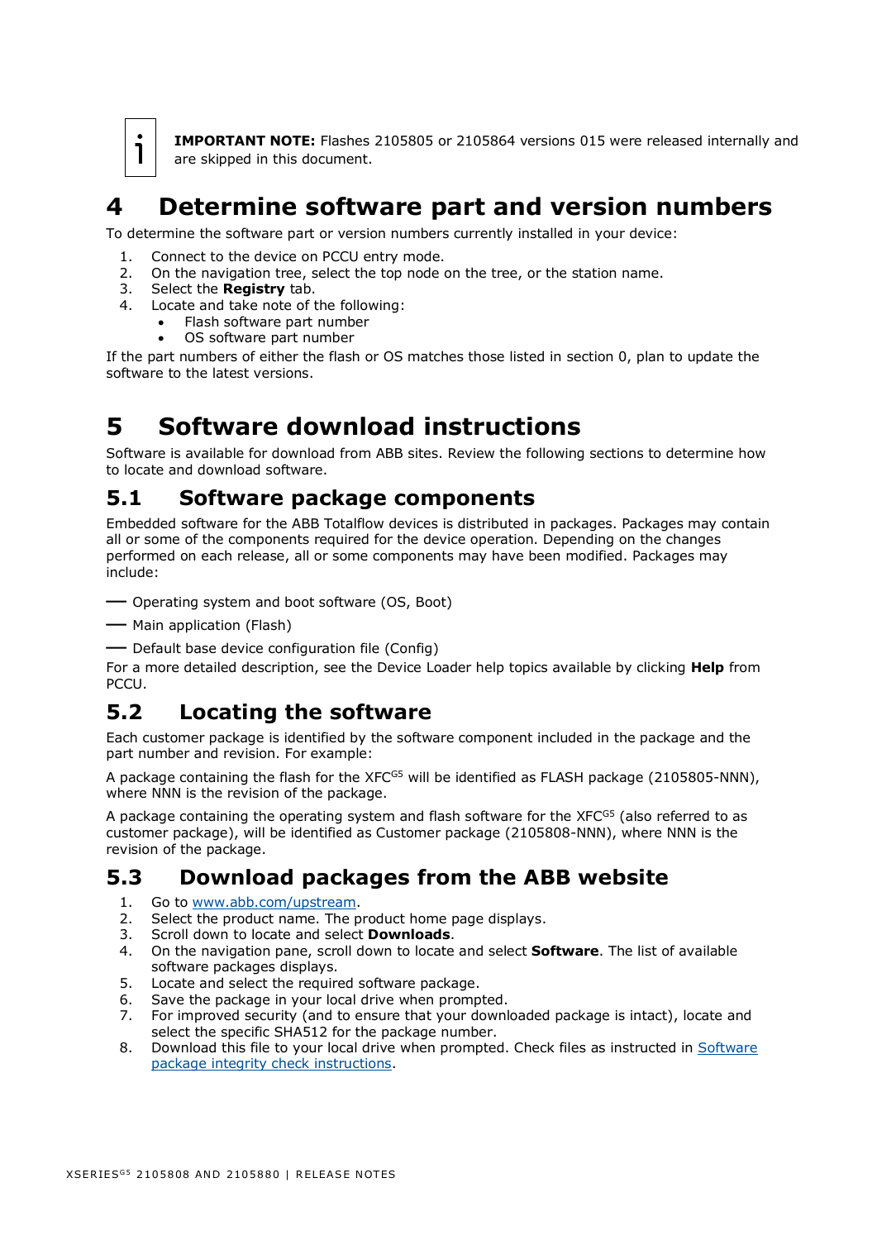**IMPORTANT NOTE:** Flashes 2105805 or 2105864 versions 015 were released internally and are skipped in this document.

# <span id="page-2-0"></span>**4 Determine software part and version numbers**

To determine the software part or version numbers currently installed in your device:

- 1. Connect to the device on PCCU entry mode.
- 2. On the navigation tree, select the top node on the tree, or the station name.
- 3. Select the **Registry** tab.
- 4. Locate and take note of the following:
	- Flash software part number
		- OS software part number

If the part numbers of either the flash or OS matches those listed in section [0,](#page-1-4) plan to update the software to the latest versions.

# <span id="page-2-1"></span>**5 Software download instructions**

Software is available for download from ABB sites. Review the following sections to determine how to locate and download software.

### <span id="page-2-2"></span>**5.1 Software package components**

Embedded software for the ABB Totalflow devices is distributed in packages. Packages may contain all or some of the components required for the device operation. Depending on the changes performed on each release, all or some components may have been modified. Packages may include:

— Operating system and boot software (OS, Boot)

- Main application (Flash)
- Default base device configuration file (Config)

For a more detailed description, see the Device Loader help topics available by clicking **Help** from PCCU.

## <span id="page-2-3"></span>**5.2 Locating the software**

Each customer package is identified by the software component included in the package and the part number and revision. For example:

A package containing the flash for the  $XFC^{GS}$  will be identified as FLASH package (2105805-NNN), where NNN is the revision of the package.

A package containing the operating system and flash software for the  $XFC<sup>GS</sup>$  (also referred to as customer package), will be identified as Customer package (2105808-NNN), where NNN is the revision of the package.

#### <span id="page-2-4"></span>**5.3 Download packages from the ABB website**

- 1. Go to [www.abb.com/upstream.](http://www.abb.com/upstream)
- 2. Select the product name. The product home page displays.
- 3. Scroll down to locate and select **Downloads**.
- 4. On the navigation pane, scroll down to locate and select **Software**. The list of available software packages displays.
- 5. Locate and select the required software package.
- 6. Save the package in your local drive when prompted.
- 7. For improved security (and to ensure that your downloaded package is intact), locate and select the specific SHA512 for the package number.
- 8. Download this file to your local drive when prompted. Check files as instructed in Software [package integrity check instructions.](http://search.abb.com/library/Download.aspx?DocumentID=ML%2F2107014&LanguageCode=en&DocumentPartId=2107014&Action=Launch)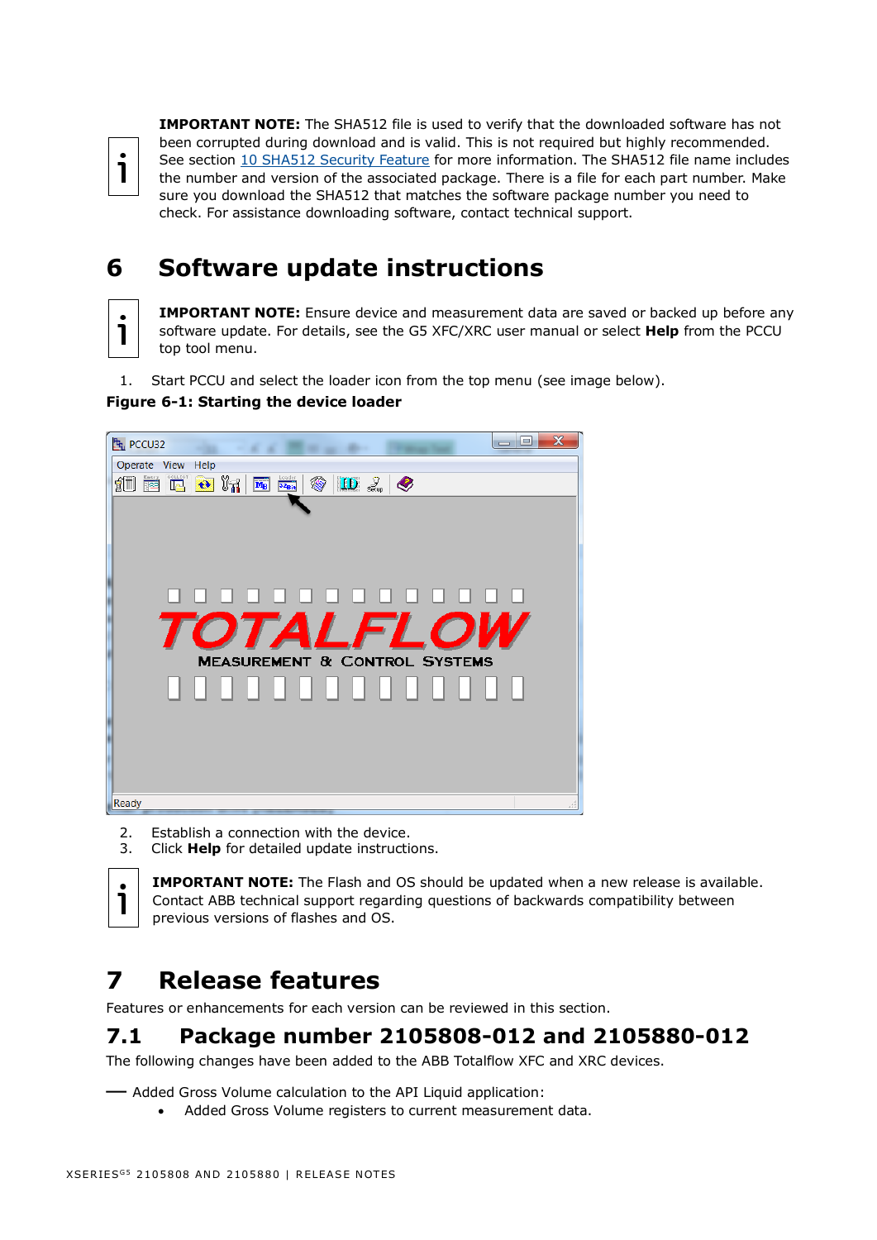1

**IMPORTANT NOTE:** The SHA512 file is used to verify that the downloaded software has not been corrupted during download and is valid. This is not required but highly recommended. See section [10](#page-9-3) [SHA512 Security Feature](#page-9-3) for more information. The SHA512 file name includes the number and version of the associated package. There is a file for each part number. Make sure you download the SHA512 that matches the software package number you need to check. For assistance downloading software, contact technical support.

# <span id="page-3-0"></span>**6 Software update instructions**

**IMPORTANT NOTE:** Ensure device and measurement data are saved or backed up before any software update. For details, see the G5 XFC/XRC user manual or select **Help** from the PCCU top tool menu.

1. Start PCCU and select the loader icon from the top menu (see image below).

#### **Figure 6-1: Starting the device loader**



- 2. Establish a connection with the device.
- 3. Click **Help** for detailed update instructions.

**IMPORTANT NOTE:** The Flash and OS should be updated when a new release is available. Contact ABB technical support regarding questions of backwards compatibility between previous versions of flashes and OS.

# <span id="page-3-1"></span>**7 Release features**

Features or enhancements for each version can be reviewed in this section.

# <span id="page-3-2"></span>**7.1 Package number 2105808-012 and 2105880-012**

The following changes have been added to the ABB Totalflow XFC and XRC devices.

— Added Gross Volume calculation to the API Liquid application:

• Added Gross Volume registers to current measurement data.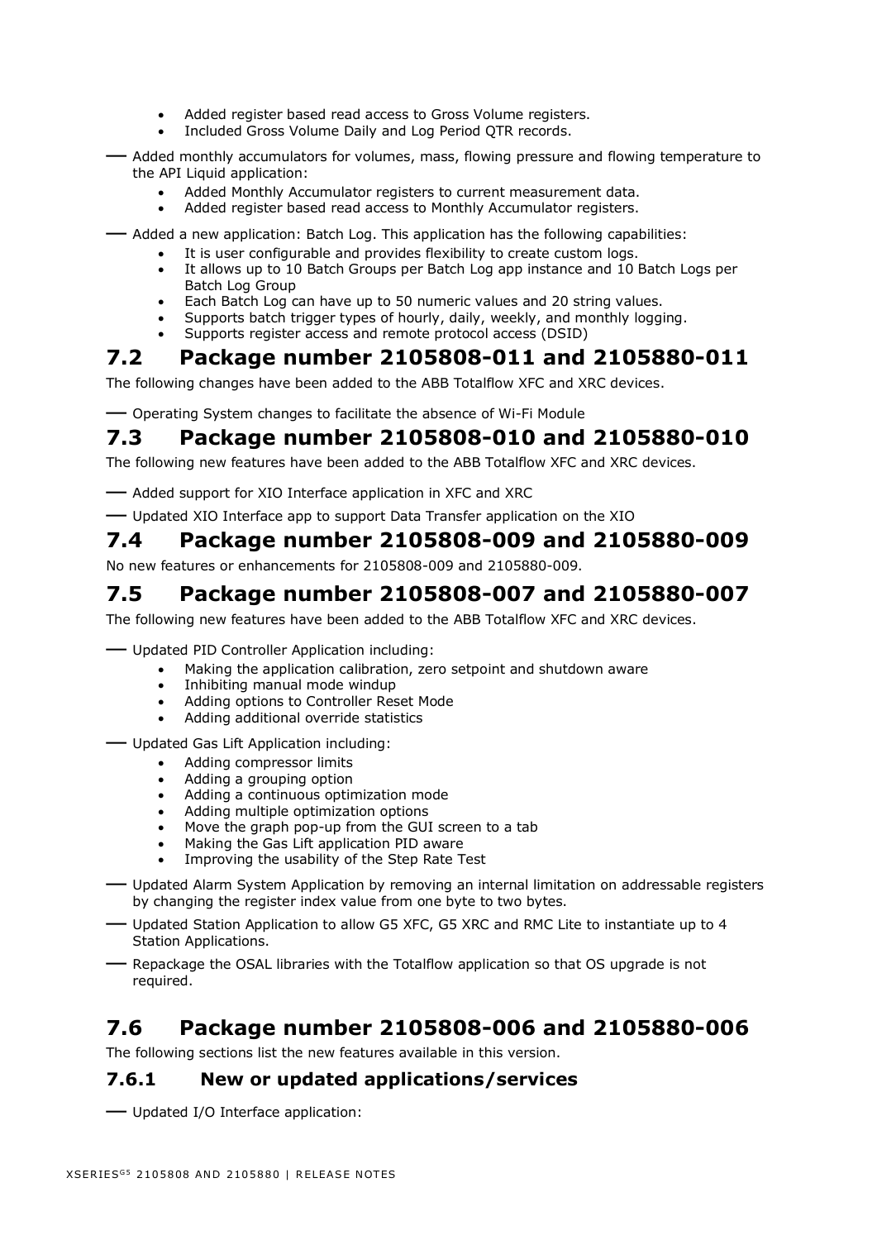- Added register based read access to Gross Volume registers.
- Included Gross Volume Daily and Log Period QTR records.
- Added monthly accumulators for volumes, mass, flowing pressure and flowing temperature to the API Liquid application:
	- Added Monthly Accumulator registers to current measurement data.
	- Added register based read access to Monthly Accumulator registers.
- Added a new application: Batch Log. This application has the following capabilities:
	- It is user configurable and provides flexibility to create custom logs.
	- It allows up to 10 Batch Groups per Batch Log app instance and 10 Batch Logs per Batch Log Group
	- Each Batch Log can have up to 50 numeric values and 20 string values.
	- Supports batch trigger types of hourly, daily, weekly, and monthly logging.
	- Supports register access and remote protocol access (DSID)

## <span id="page-4-0"></span>**7.2 Package number 2105808-011 and 2105880-011**

The following changes have been added to the ABB Totalflow XFC and XRC devices.

— Operating System changes to facilitate the absence of Wi-Fi Module

# <span id="page-4-1"></span>**7.3 Package number 2105808-010 and 2105880-010**

The following new features have been added to the ABB Totalflow XFC and XRC devices.

- Added support for XIO Interface application in XFC and XRC
- Updated XIO Interface app to support Data Transfer application on the XIO

### <span id="page-4-2"></span>**7.4 Package number 2105808-009 and 2105880-009**

No new features or enhancements for 2105808-009 and 2105880-009.

# <span id="page-4-3"></span>**7.5 Package number 2105808-007 and 2105880-007**

The following new features have been added to the ABB Totalflow XFC and XRC devices.

- Updated PID Controller Application including:
	- Making the application calibration, zero setpoint and shutdown aware
	- Inhibiting manual mode windup
	- Adding options to Controller Reset Mode
	- Adding additional override statistics
- Updated Gas Lift Application including:
	- Adding compressor limits
	- Adding a grouping option
	- Adding a continuous optimization mode
	- Adding multiple optimization options
	- Move the graph pop-up from the GUI screen to a tab
	- Making the Gas Lift application PID aware
	- Improving the usability of the Step Rate Test
- Updated Alarm System Application by removing an internal limitation on addressable registers by changing the register index value from one byte to two bytes.
- Updated Station Application to allow G5 XFC, G5 XRC and RMC Lite to instantiate up to 4 Station Applications.
- Repackage the OSAL libraries with the Totalflow application so that OS upgrade is not required.

### <span id="page-4-4"></span>**7.6 Package number 2105808-006 and 2105880-006**

The following sections list the new features available in this version.

#### **7.6.1 New or updated applications/services**

— Updated I/O Interface application: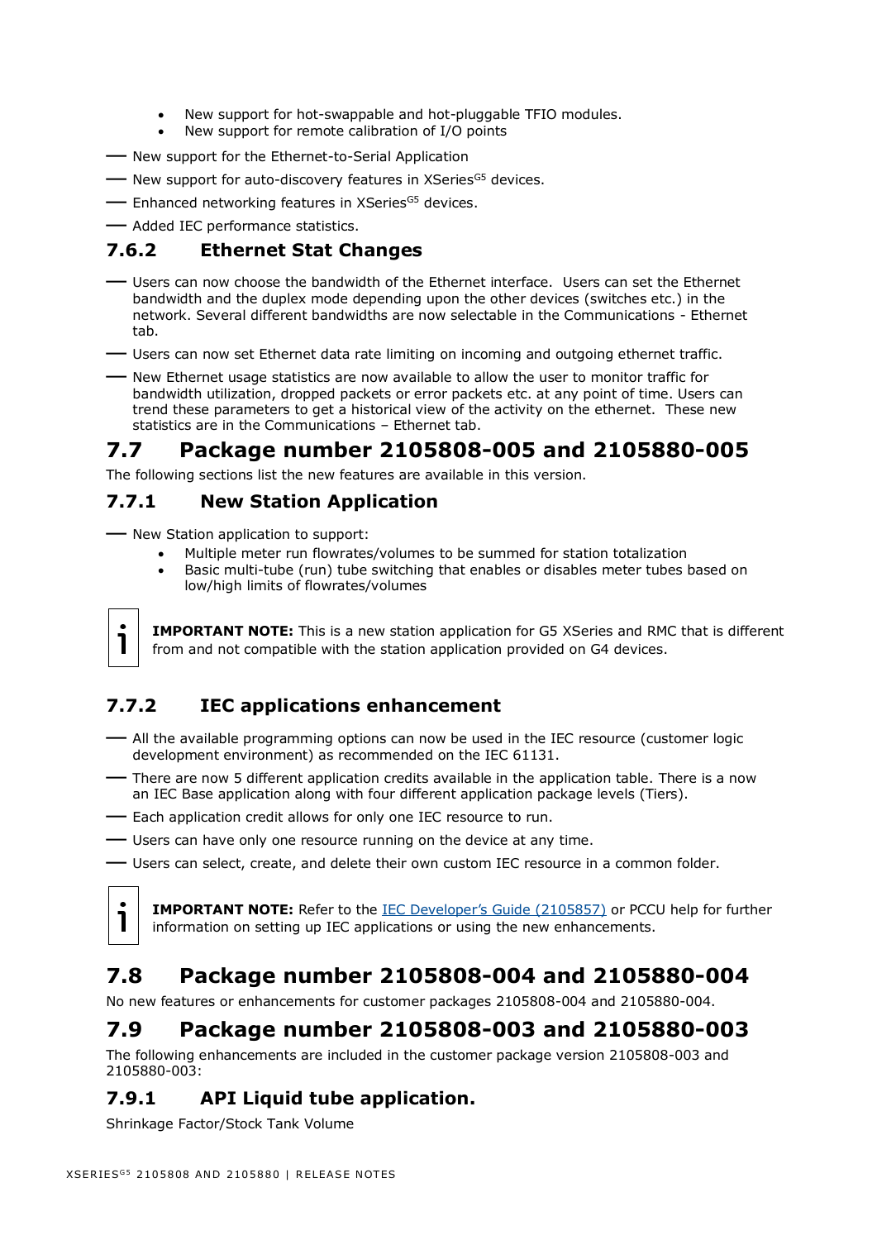- New support for hot-swappable and hot-pluggable TFIO modules.
- New support for remote calibration of I/O points
- New support for the Ethernet-to-Serial Application
- New support for auto-discovery features in XSeries<sup>G5</sup> devices.
- Enhanced networking features in XSeries<sup>G5</sup> devices.
- Added IEC performance statistics.

#### **7.6.2 Ethernet Stat Changes**

- Users can now choose the bandwidth of the Ethernet interface. Users can set the Ethernet bandwidth and the duplex mode depending upon the other devices (switches etc.) in the network. Several different bandwidths are now selectable in the Communications - Ethernet tab.
- Users can now set Ethernet data rate limiting on incoming and outgoing ethernet traffic.
- New Ethernet usage statistics are now available to allow the user to monitor traffic for bandwidth utilization, dropped packets or error packets etc. at any point of time. Users can trend these parameters to get a historical view of the activity on the ethernet. These new statistics are in the Communications – Ethernet tab.

## <span id="page-5-0"></span>**7.7 Package number 2105808-005 and 2105880-005**

The following sections list the new features are available in this version.

#### **7.7.1 New Station Application**

- New Station application to support:
	- Multiple meter run flowrates/volumes to be summed for station totalization
	- Basic multi-tube (run) tube switching that enables or disables meter tubes based on low/high limits of flowrates/volumes

**IMPORTANT NOTE:** This is a new station application for G5 XSeries and RMC that is different from and not compatible with the station application provided on G4 devices.

#### **7.7.2 IEC applications enhancement**

- All the available programming options can now be used in the IEC resource (customer logic development environment) as recommended on the IEC 61131.
- There are now 5 different application credits available in the application table. There is a now an IEC Base application along with four different application package levels (Tiers).
- Each application credit allows for only one IEC resource to run.
- Users can have only one resource running on the device at any time.
- Users can select, create, and delete their own custom IEC resource in a common folder.



1

**IMPORTANT NOTE:** Refer to the [IEC Developer's Guide \(2105857\)](https://search.abb.com/library/Download.aspx?DocumentID=AD%2F2105857&LanguageCode=en&DocumentPartId=2105857&Action=Launch) or PCCU help for further information on setting up IEC applications or using the new enhancements.

## <span id="page-5-1"></span>**7.8 Package number 2105808-004 and 2105880-004**

No new features or enhancements for customer packages 2105808-004 and 2105880-004.

### <span id="page-5-2"></span>**7.9 Package number 2105808-003 and 2105880-003**

The following enhancements are included in the customer package version 2105808-003 and 2105880-003:

#### **7.9.1 API Liquid tube application.**

Shrinkage Factor/Stock Tank Volume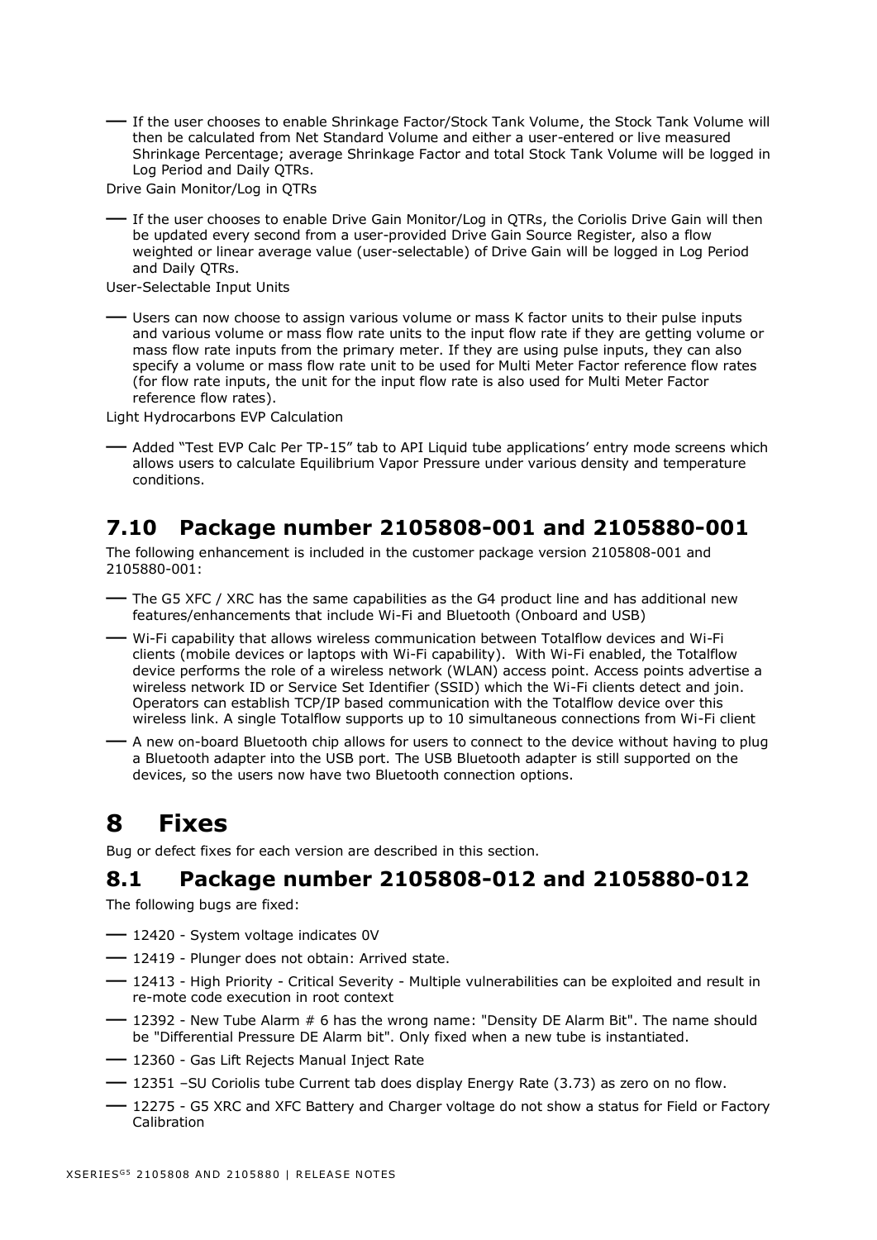— If the user chooses to enable Shrinkage Factor/Stock Tank Volume, the Stock Tank Volume will then be calculated from Net Standard Volume and either a user-entered or live measured Shrinkage Percentage; average Shrinkage Factor and total Stock Tank Volume will be logged in Log Period and Daily OTRs.

Drive Gain Monitor/Log in QTRs

— If the user chooses to enable Drive Gain Monitor/Log in QTRs, the Coriolis Drive Gain will then be updated every second from a user-provided Drive Gain Source Register, also a flow weighted or linear average value (user-selectable) of Drive Gain will be logged in Log Period and Daily QTRs.

User-Selectable Input Units

— Users can now choose to assign various volume or mass K factor units to their pulse inputs and various volume or mass flow rate units to the input flow rate if they are getting volume or mass flow rate inputs from the primary meter. If they are using pulse inputs, they can also specify a volume or mass flow rate unit to be used for Multi Meter Factor reference flow rates (for flow rate inputs, the unit for the input flow rate is also used for Multi Meter Factor reference flow rates).

Light Hydrocarbons EVP Calculation

- Added "Test EVP Calc Per TP-15" tab to API Liquid tube applications' entry mode screens which allows users to calculate Equilibrium Vapor Pressure under various density and temperature conditions.

## <span id="page-6-0"></span>**7.10 Package number 2105808-001 and 2105880-001**

The following enhancement is included in the customer package version 2105808-001 and 2105880-001:

- The G5 XFC / XRC has the same capabilities as the G4 product line and has additional new features/enhancements that include Wi-Fi and Bluetooth (Onboard and USB)
- Wi-Fi capability that allows wireless communication between Totalflow devices and Wi-Fi clients (mobile devices or laptops with Wi-Fi capability). With Wi-Fi enabled, the Totalflow device performs the role of a wireless network (WLAN) access point. Access points advertise a wireless network ID or Service Set Identifier (SSID) which the Wi-Fi clients detect and join. Operators can establish TCP/IP based communication with the Totalflow device over this wireless link. A single Totalflow supports up to 10 simultaneous connections from Wi-Fi client
- A new on-board Bluetooth chip allows for users to connect to the device without having to plug a Bluetooth adapter into the USB port. The USB Bluetooth adapter is still supported on the devices, so the users now have two Bluetooth connection options.

# <span id="page-6-1"></span>**8 Fixes**

Bug or defect fixes for each version are described in this section.

#### <span id="page-6-2"></span>**8.1 Package number 2105808-012 and 2105880-012**

The following bugs are fixed:

- 12420 System voltage indicates 0V
- 12419 Plunger does not obtain: Arrived state.
- 12413 High Priority Critical Severity Multiple vulnerabilities can be exploited and result in re-mote code execution in root context
- 12392 New Tube Alarm # 6 has the wrong name: "Density DE Alarm Bit". The name should be "Differential Pressure DE Alarm bit". Only fixed when a new tube is instantiated.
- 12360 Gas Lift Rejects Manual Inject Rate
- <sup>12351</sup>–SU Coriolis tube Current tab does display Energy Rate (3.73) as zero on no flow.
- 12275 G5 XRC and XFC Battery and Charger voltage do not show a status for Field or Factory Calibration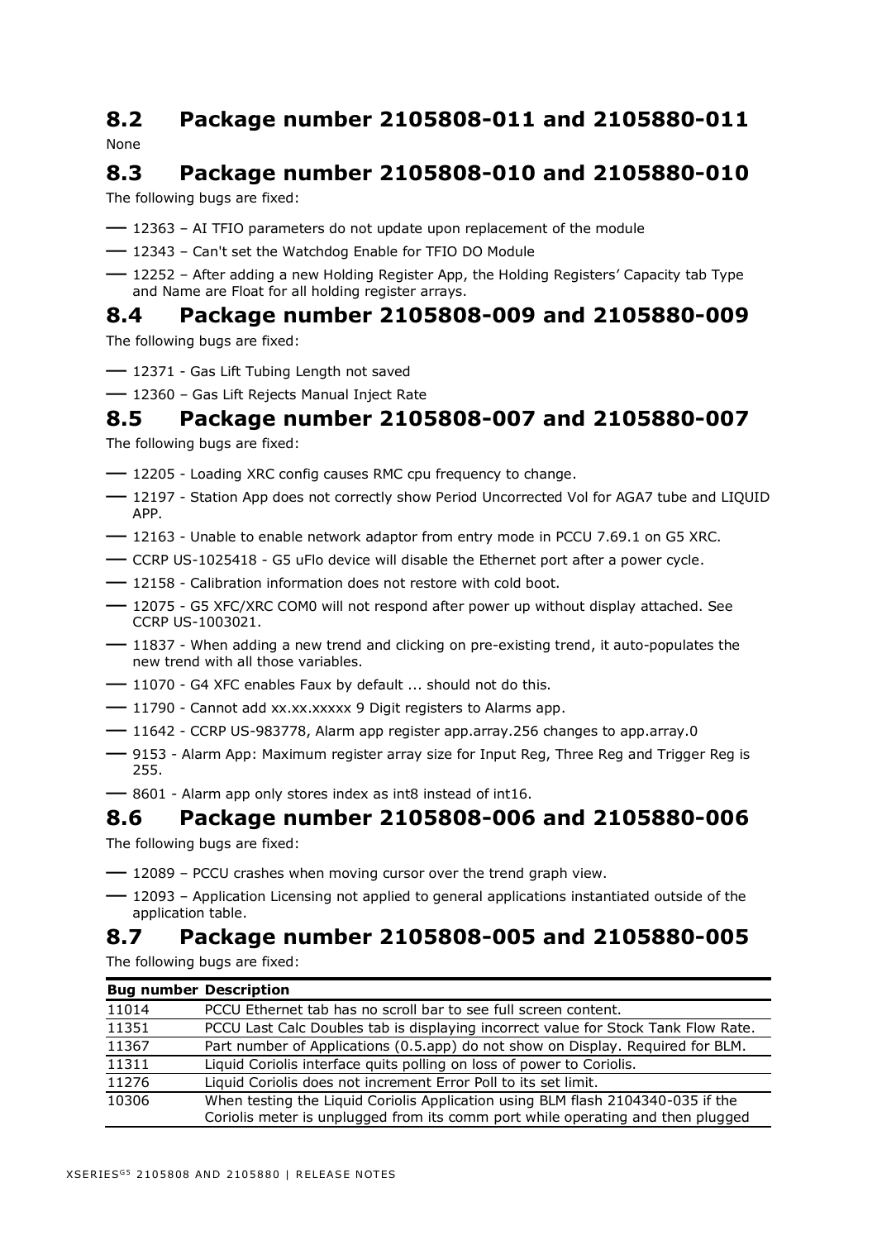#### <span id="page-7-0"></span>**8.2 Package number 2105808-011 and 2105880-011** None

# <span id="page-7-1"></span>**8.3 Package number 2105808-010 and 2105880-010**

The following bugs are fixed:

- <sup>12363</sup> AI TFIO parameters do not update upon replacement of the module
- <sup>12343</sup> Can't set the Watchdog Enable for TFIO DO Module
- <sup>12252</sup> After adding a new Holding Register App, the Holding Registers' Capacity tab Type and Name are Float for all holding register arrays.

## <span id="page-7-2"></span>**8.4 Package number 2105808-009 and 2105880-009**

The following bugs are fixed:

- 12371 Gas Lift Tubing Length not saved
- <sup>12360</sup> Gas Lift Rejects Manual Inject Rate

### <span id="page-7-3"></span>**8.5 Package number 2105808-007 and 2105880-007**

The following bugs are fixed:

- $-$  12205 Loading XRC config causes RMC cpu frequency to change.
- 12197 Station App does not correctly show Period Uncorrected Vol for AGA7 tube and LIQUID APP.
- 12163 Unable to enable network adaptor from entry mode in PCCU 7.69.1 on G5 XRC.
- CCRP US-1025418 G5 uFlo device will disable the Ethernet port after a power cycle.
- 12158 Calibration information does not restore with cold boot.
- 12075 G5 XFC/XRC COM0 will not respond after power up without display attached. See CCRP US-1003021.
- 11837 When adding a new trend and clicking on pre-existing trend, it auto-populates the new trend with all those variables.
- 11070 G4 XFC enables Faux by default ... should not do this.
- 11790 Cannot add xx.xx.xxxxx 9 Digit registers to Alarms app.
- 11642 CCRP US-983778, Alarm app register app.array.256 changes to app.array.0
- 9153 Alarm App: Maximum register array size for Input Reg, Three Reg and Trigger Reg is 255.
- 8601 Alarm app only stores index as int8 instead of int16.

#### <span id="page-7-4"></span>**8.6 Package number 2105808-006 and 2105880-006**

The following bugs are fixed:

- <sup>12089</sup> PCCU crashes when moving cursor over the trend graph view.
- <sup>12093</sup> Application Licensing not applied to general applications instantiated outside of the application table.

## <span id="page-7-5"></span>**8.7 Package number 2105808-005 and 2105880-005**

The following bugs are fixed:

| <b>Bug number Description</b> |                                                                                    |
|-------------------------------|------------------------------------------------------------------------------------|
| 11014                         | PCCU Ethernet tab has no scroll bar to see full screen content.                    |
| 11351                         | PCCU Last Calc Doubles tab is displaying incorrect value for Stock Tank Flow Rate. |
| 11367                         | Part number of Applications (0.5.app) do not show on Display. Required for BLM.    |
| 11311                         | Liquid Coriolis interface quits polling on loss of power to Coriolis.              |
| 11276                         | Liquid Coriolis does not increment Error Poll to its set limit.                    |
| 10306                         | When testing the Liquid Coriolis Application using BLM flash 2104340-035 if the    |
|                               | Coriolis meter is unplugged from its comm port while operating and then plugged    |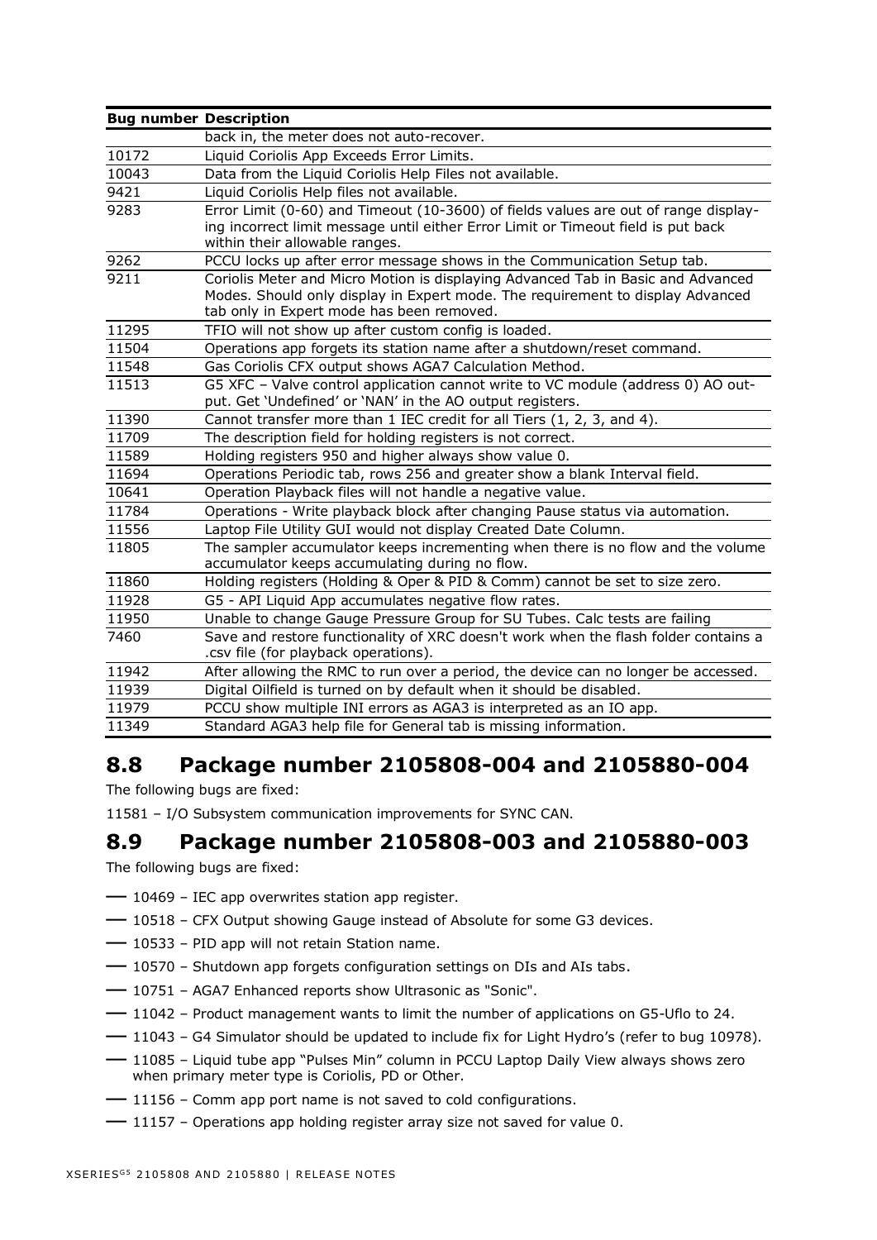| <b>Bug number Description</b> |                                                                                                                                                                                                                 |
|-------------------------------|-----------------------------------------------------------------------------------------------------------------------------------------------------------------------------------------------------------------|
|                               | back in, the meter does not auto-recover.                                                                                                                                                                       |
| 10172                         | Liquid Coriolis App Exceeds Error Limits.                                                                                                                                                                       |
| 10043                         | Data from the Liquid Coriolis Help Files not available.                                                                                                                                                         |
| 9421                          | Liquid Coriolis Help files not available.                                                                                                                                                                       |
| 9283                          | Error Limit (0-60) and Timeout (10-3600) of fields values are out of range display-<br>ing incorrect limit message until either Error Limit or Timeout field is put back<br>within their allowable ranges.      |
| 9262                          | PCCU locks up after error message shows in the Communication Setup tab.                                                                                                                                         |
| 9211                          | Coriolis Meter and Micro Motion is displaying Advanced Tab in Basic and Advanced<br>Modes. Should only display in Expert mode. The requirement to display Advanced<br>tab only in Expert mode has been removed. |
| 11295                         | TFIO will not show up after custom config is loaded.                                                                                                                                                            |
| 11504                         | Operations app forgets its station name after a shutdown/reset command.                                                                                                                                         |
| 11548                         | Gas Coriolis CFX output shows AGA7 Calculation Method.                                                                                                                                                          |
| 11513                         | G5 XFC - Valve control application cannot write to VC module (address 0) AO out-<br>put. Get 'Undefined' or 'NAN' in the AO output registers.                                                                   |
| 11390                         | Cannot transfer more than 1 IEC credit for all Tiers (1, 2, 3, and 4).                                                                                                                                          |
| 11709                         | The description field for holding registers is not correct.                                                                                                                                                     |
| 11589                         | Holding registers 950 and higher always show value 0.                                                                                                                                                           |
| 11694                         | Operations Periodic tab, rows 256 and greater show a blank Interval field.                                                                                                                                      |
| 10641                         | Operation Playback files will not handle a negative value.                                                                                                                                                      |
| 11784                         | Operations - Write playback block after changing Pause status via automation.                                                                                                                                   |
| 11556                         | Laptop File Utility GUI would not display Created Date Column.                                                                                                                                                  |
| 11805                         | The sampler accumulator keeps incrementing when there is no flow and the volume<br>accumulator keeps accumulating during no flow.                                                                               |
| 11860                         | Holding registers (Holding & Oper & PID & Comm) cannot be set to size zero.                                                                                                                                     |
| 11928                         | G5 - API Liquid App accumulates negative flow rates.                                                                                                                                                            |
| 11950                         | Unable to change Gauge Pressure Group for SU Tubes. Calc tests are failing                                                                                                                                      |
| 7460                          | Save and restore functionality of XRC doesn't work when the flash folder contains a<br>.csv file (for playback operations).                                                                                     |
| 11942                         | After allowing the RMC to run over a period, the device can no longer be accessed.                                                                                                                              |
| 11939                         | Digital Oilfield is turned on by default when it should be disabled.                                                                                                                                            |
| 11979                         | PCCU show multiple INI errors as AGA3 is interpreted as an IO app.                                                                                                                                              |
| 11349                         | Standard AGA3 help file for General tab is missing information.                                                                                                                                                 |

## <span id="page-8-0"></span>**8.8 Package number 2105808-004 and 2105880-004**

The following bugs are fixed:

11581 – I/O Subsystem communication improvements for SYNC CAN.

### <span id="page-8-1"></span>**8.9 Package number 2105808-003 and 2105880-003**

The following bugs are fixed:

- <sup>10469</sup> IEC app overwrites station app register.
- <sup>10518</sup> CFX Output showing Gauge instead of Absolute for some G3 devices.
- <sup>10533</sup> PID app will not retain Station name.
- <sup>10570</sup> Shutdown app forgets configuration settings on DIs and AIs tabs.
- <sup>10751</sup> AGA7 Enhanced reports show Ultrasonic as "Sonic".
- <sup>11042</sup> Product management wants to limit the number of applications on G5-Uflo to 24.
- <sup>11043</sup> G4 Simulator should be updated to include fix for Light Hydro's (refer to bug 10978).
- <sup>11085</sup> Liquid tube app "Pulses Min" column in PCCU Laptop Daily View always shows zero when primary meter type is Coriolis, PD or Other.
- <sup>11156</sup> Comm app port name is not saved to cold configurations.
- <sup>11157</sup> Operations app holding register array size not saved for value 0.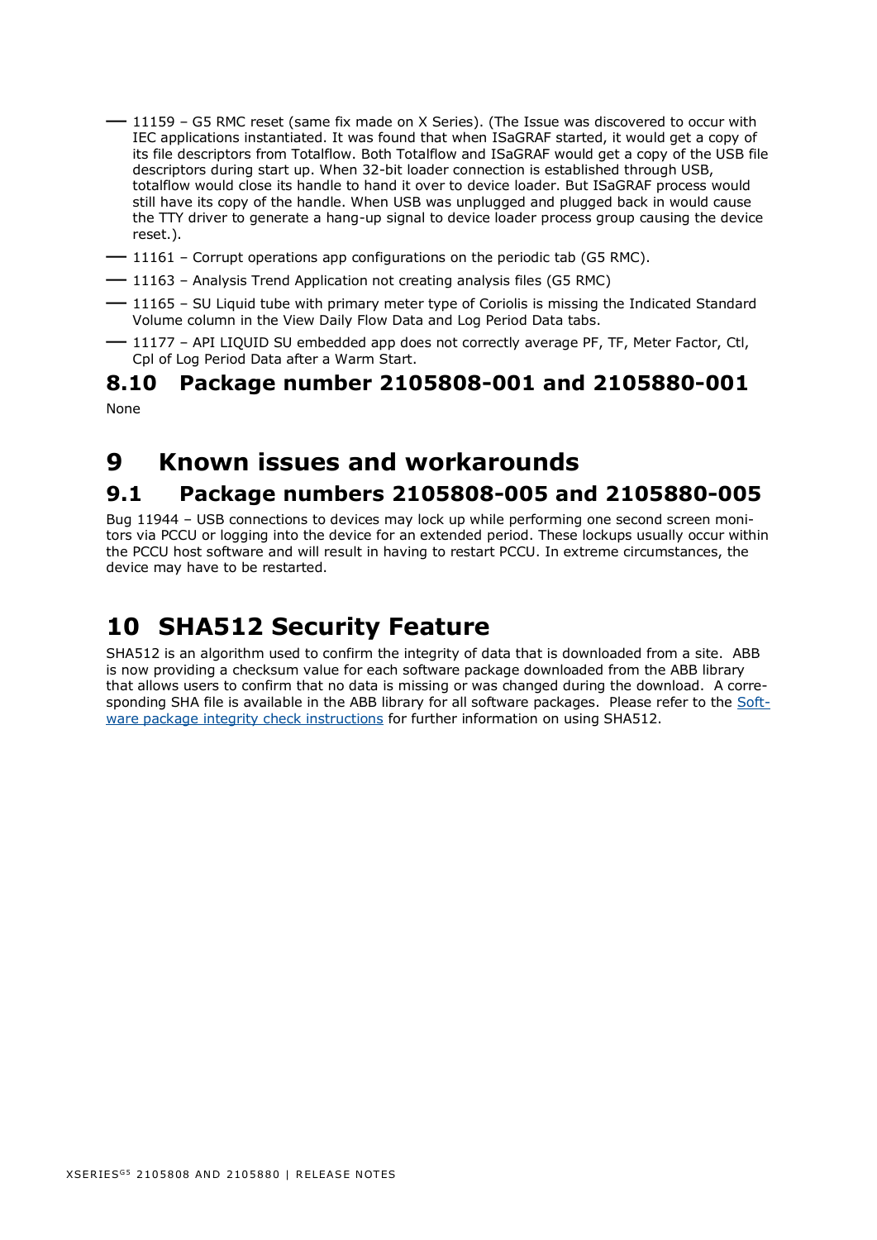- <sup>11159</sup> G5 RMC reset (same fix made on X Series). (The Issue was discovered to occur with IEC applications instantiated. It was found that when ISaGRAF started, it would get a copy of its file descriptors from Totalflow. Both Totalflow and ISaGRAF would get a copy of the USB file descriptors during start up. When 32-bit loader connection is established through USB, totalflow would close its handle to hand it over to device loader. But ISaGRAF process would still have its copy of the handle. When USB was unplugged and plugged back in would cause the TTY driver to generate a hang-up signal to device loader process group causing the device reset.).
- <sup>11161</sup> Corrupt operations app configurations on the periodic tab (G5 RMC).
- <sup>11163</sup> Analysis Trend Application not creating analysis files (G5 RMC)
- <sup>11165</sup> SU Liquid tube with primary meter type of Coriolis is missing the Indicated Standard Volume column in the View Daily Flow Data and Log Period Data tabs.
- <sup>11177</sup> API LIQUID SU embedded app does not correctly average PF, TF, Meter Factor, Ctl, Cpl of Log Period Data after a Warm Start.

#### <span id="page-9-0"></span>**8.10 Package number 2105808-001 and 2105880-001** None

# <span id="page-9-1"></span>**9 Known issues and workarounds**

### <span id="page-9-2"></span>**9.1 Package numbers 2105808-005 and 2105880-005**

Bug 11944 – USB connections to devices may lock up while performing one second screen monitors via PCCU or logging into the device for an extended period. These lockups usually occur within the PCCU host software and will result in having to restart PCCU. In extreme circumstances, the device may have to be restarted.

# <span id="page-9-3"></span>**10 SHA512 Security Feature**

SHA512 is an algorithm used to confirm the integrity of data that is downloaded from a site. ABB is now providing a checksum value for each software package downloaded from the ABB library that allows users to confirm that no data is missing or was changed during the download. A corresponding SHA file is available in the ABB library for all software packages. Please refer to the [Soft](http://search.abb.com/library/Download.aspx?DocumentID=ML%2F2107014&LanguageCode=en&DocumentPartId=2107014&Action=Launch)[ware package integrity check instructions](http://search.abb.com/library/Download.aspx?DocumentID=ML%2F2107014&LanguageCode=en&DocumentPartId=2107014&Action=Launch) for further information on using SHA512.